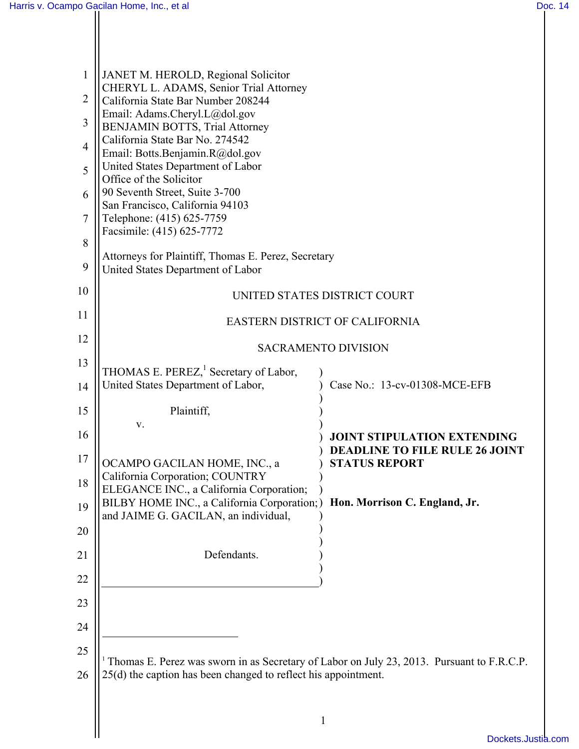Ш

| $\mathbf{1}$<br>$\overline{2}$<br>3<br>$\overline{4}$ | JANET M. HEROLD, Regional Solicitor<br>CHERYL L. ADAMS, Senior Trial Attorney<br>California State Bar Number 208244<br>Email: Adams.Cheryl.L@dol.gov<br><b>BENJAMIN BOTTS, Trial Attorney</b><br>California State Bar No. 274542<br>Email: Botts.Benjamin.R@dol.gov<br>United States Department of Labor<br>Office of the Solicitor<br>90 Seventh Street, Suite 3-700<br>San Francisco, California 94103<br>Telephone: (415) 625-7759 |                                                               |  |
|-------------------------------------------------------|---------------------------------------------------------------------------------------------------------------------------------------------------------------------------------------------------------------------------------------------------------------------------------------------------------------------------------------------------------------------------------------------------------------------------------------|---------------------------------------------------------------|--|
| 5                                                     |                                                                                                                                                                                                                                                                                                                                                                                                                                       |                                                               |  |
| 6<br>$\overline{7}$                                   |                                                                                                                                                                                                                                                                                                                                                                                                                                       |                                                               |  |
| 8                                                     | Facsimile: (415) 625-7772                                                                                                                                                                                                                                                                                                                                                                                                             |                                                               |  |
| 9                                                     | Attorneys for Plaintiff, Thomas E. Perez, Secretary<br>United States Department of Labor                                                                                                                                                                                                                                                                                                                                              |                                                               |  |
| 10                                                    | UNITED STATES DISTRICT COURT                                                                                                                                                                                                                                                                                                                                                                                                          |                                                               |  |
| 11                                                    | EASTERN DISTRICT OF CALIFORNIA                                                                                                                                                                                                                                                                                                                                                                                                        |                                                               |  |
| 12                                                    | <b>SACRAMENTO DIVISION</b>                                                                                                                                                                                                                                                                                                                                                                                                            |                                                               |  |
| 13                                                    | THOMAS E. PEREZ, <sup>1</sup> Secretary of Labor,                                                                                                                                                                                                                                                                                                                                                                                     |                                                               |  |
| 14                                                    | United States Department of Labor,                                                                                                                                                                                                                                                                                                                                                                                                    | Case No.: 13-cv-01308-MCE-EFB                                 |  |
| 15                                                    | Plaintiff,                                                                                                                                                                                                                                                                                                                                                                                                                            |                                                               |  |
| 16                                                    | V.                                                                                                                                                                                                                                                                                                                                                                                                                                    | <b>JOINT STIPULATION EXTENDING</b>                            |  |
| 17                                                    | OCAMPO GACILAN HOME, INC., a                                                                                                                                                                                                                                                                                                                                                                                                          | <b>DEADLINE TO FILE RULE 26 JOINT</b><br><b>STATUS REPORT</b> |  |
| 18                                                    | California Corporation; COUNTRY<br>ELEGANCE INC., a California Corporation;                                                                                                                                                                                                                                                                                                                                                           |                                                               |  |
| 19                                                    | BILBY HOME INC., a California Corporation;)<br>and JAIME G. GACILAN, an individual,                                                                                                                                                                                                                                                                                                                                                   | Hon. Morrison C. England, Jr.                                 |  |
| 20                                                    |                                                                                                                                                                                                                                                                                                                                                                                                                                       |                                                               |  |
| 21                                                    | Defendants.                                                                                                                                                                                                                                                                                                                                                                                                                           |                                                               |  |
| 22                                                    |                                                                                                                                                                                                                                                                                                                                                                                                                                       |                                                               |  |
| 23                                                    |                                                                                                                                                                                                                                                                                                                                                                                                                                       |                                                               |  |
| 24                                                    |                                                                                                                                                                                                                                                                                                                                                                                                                                       |                                                               |  |
| 25                                                    |                                                                                                                                                                                                                                                                                                                                                                                                                                       |                                                               |  |
| 26                                                    | <sup>1</sup> Thomas E. Perez was sworn in as Secretary of Labor on July 23, 2013. Pursuant to F.R.C.P.<br>25(d) the caption has been changed to reflect his appointment.                                                                                                                                                                                                                                                              |                                                               |  |
|                                                       |                                                                                                                                                                                                                                                                                                                                                                                                                                       |                                                               |  |